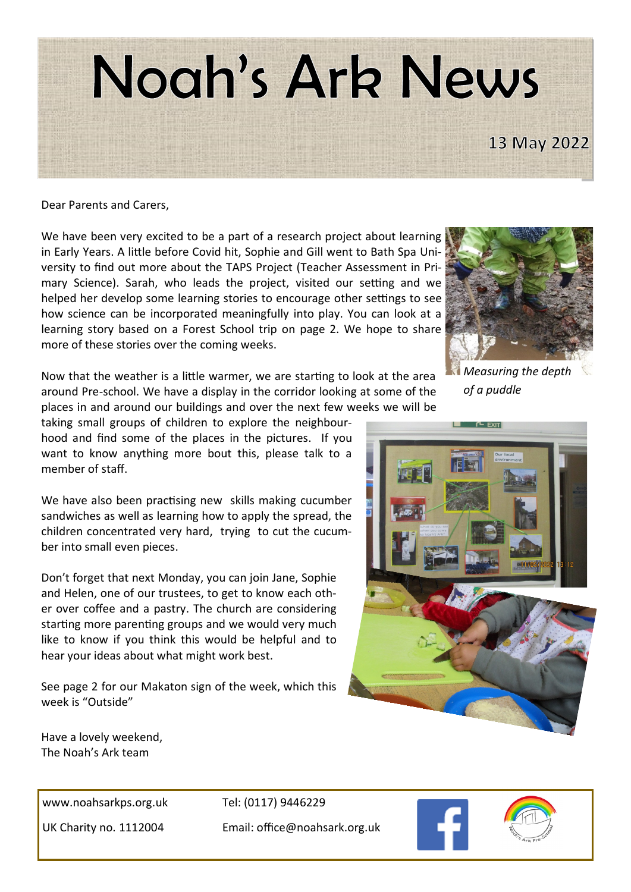

Dear Parents and Carers,

We have been very excited to be a part of a research project about learning in Early Years. A little before Covid hit, Sophie and Gill went to Bath Spa University to find out more about the TAPS Project (Teacher Assessment in Primary Science). Sarah, who leads the project, visited our setting and we helped her develop some learning stories to encourage other settings to see how science can be incorporated meaningfully into play. You can look at a learning story based on a Forest School trip on page 2. We hope to share more of these stories over the coming weeks.



Now that the weather is a little warmer, we are starting to look at the area around Pre-school. We have a display in the corridor looking at some of the places in and around our buildings and over the next few weeks we will be

taking small groups of children to explore the neighbourhood and find some of the places in the pictures. If you want to know anything more bout this, please talk to a member of staff.

We have also been practising new skills making cucumber sandwiches as well as learning how to apply the spread, the children concentrated very hard, trying to cut the cucumber into small even pieces.

Don't forget that next Monday, you can join Jane, Sophie and Helen, one of our trustees, to get to know each other over coffee and a pastry. The church are considering starting more parenting groups and we would very much like to know if you think this would be helpful and to hear your ideas about what might work best.

See page 2 for our Makaton sign of the week, which this week is "Outside"

*Measuring the depth of a puddle*



Have a lovely weekend, The Noah's Ark team

www.noahsarkps.org.uk Tel: (0117) 9446229

UK Charity no. 1112004 Email: office@noahsark.org.uk